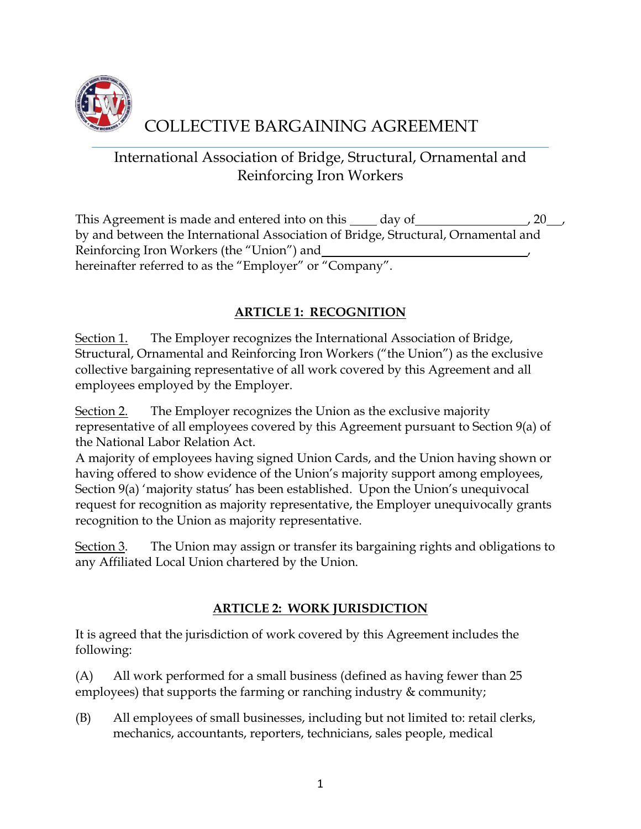

# COLLECTIVE BARGAINING AGREEMENT

# International Association of Bridge, Structural, Ornamental and Reinforcing Iron Workers

This Agreement is made and entered into on this  $\_\_\_day$  of  $\_\_\_\_\_J$  20 , by and between the International Association of Bridge, Structural, Ornamental and Reinforcing Iron Workers (the "Union") and hereinafter referred to as the "Employer" or "Company".

# **ARTICLE 1: RECOGNITION**

Section 1. The Employer recognizes the International Association of Bridge, Structural, Ornamental and Reinforcing Iron Workers ("the Union") as the exclusive collective bargaining representative of all work covered by this Agreement and all employees employed by the Employer.

Section 2. The Employer recognizes the Union as the exclusive majority representative of all employees covered by this Agreement pursuant to Section 9(a) of the National Labor Relation Act.

A majority of employees having signed Union Cards, and the Union having shown or having offered to show evidence of the Union's majority support among employees, Section 9(a) 'majority status' has been established. Upon the Union's unequivocal request for recognition as majority representative, the Employer unequivocally grants recognition to the Union as majority representative.

Section 3. The Union may assign or transfer its bargaining rights and obligations to any Affiliated Local Union chartered by the Union.

### **ARTICLE 2: WORK JURISDICTION**

It is agreed that the jurisdiction of work covered by this Agreement includes the following:

(A) All work performed for a small business (defined as having fewer than 25 employees) that supports the farming or ranching industry & community;

(B) All employees of small businesses, including but not limited to: retail clerks, mechanics, accountants, reporters, technicians, sales people, medical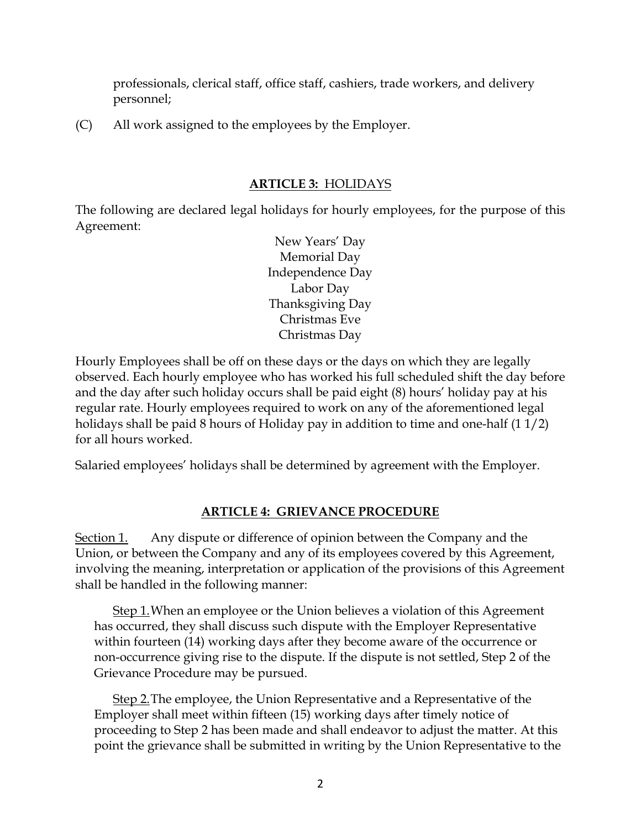professionals, clerical staff, office staff, cashiers, trade workers, and delivery personnel;

(C) All work assigned to the employees by the Employer.

#### **ARTICLE 3:** HOLIDAYS

The following are declared legal holidays for hourly employees, for the purpose of this Agreement:

> New Years' Day Memorial Day Independence Day Labor Day Thanksgiving Day Christmas Eve Christmas Day

Hourly Employees shall be off on these days or the days on which they are legally observed. Each hourly employee who has worked his full scheduled shift the day before and the day after such holiday occurs shall be paid eight (8) hours' holiday pay at his regular rate. Hourly employees required to work on any of the aforementioned legal holidays shall be paid 8 hours of Holiday pay in addition to time and one-half (1 1/2) for all hours worked.

Salaried employees' holidays shall be determined by agreement with the Employer.

#### **ARTICLE 4: GRIEVANCE PROCEDURE**

Section 1. Any dispute or difference of opinion between the Company and the Union, or between the Company and any of its employees covered by this Agreement, involving the meaning, interpretation or application of the provisions of this Agreement shall be handled in the following manner:

 Step 1. When an employee or the Union believes a violation of this Agreement has occurred, they shall discuss such dispute with the Employer Representative within fourteen (14) working days after they become aware of the occurrence or non-occurrence giving rise to the dispute. If the dispute is not settled, Step 2 of the Grievance Procedure may be pursued.

 Step 2. The employee, the Union Representative and a Representative of the Employer shall meet within fifteen (15) working days after timely notice of proceeding to Step 2 has been made and shall endeavor to adjust the matter. At this point the grievance shall be submitted in writing by the Union Representative to the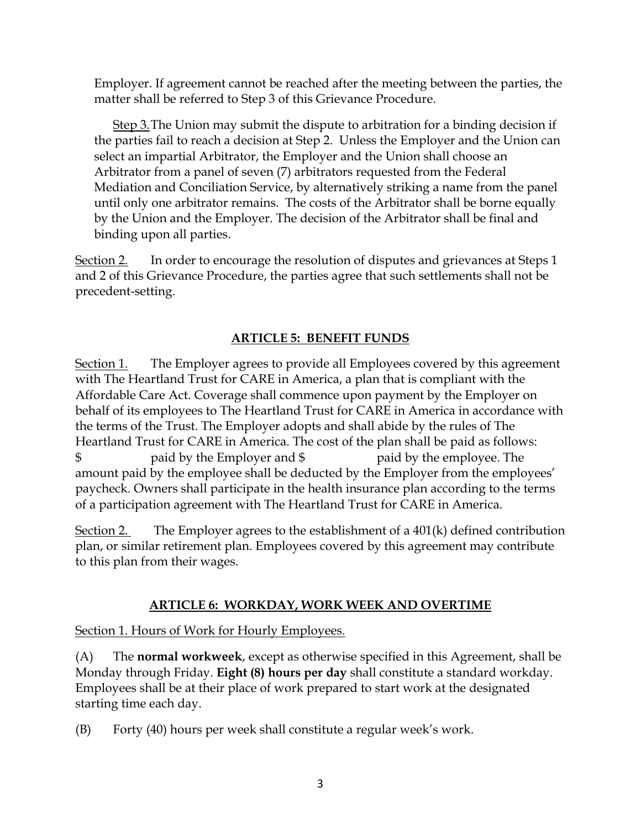Employer. If agreement cannot be reached after the meeting between the parties, the matter shall be referred to Step 3 of this Grievance Procedure.

Step 3. The Union may submit the dispute to arbitration for a binding decision if the parties fail to reach a decision at Step 2. Unless the Employer and the Union can select an impartial Arbitrator, the Employer and the Union shall choose an Arbitrator from a panel of seven (7) arbitrators requested from the Federal Mediation and Conciliation Service, by alternatively striking a name from the panel until only one arbitrator remains. The costs of the Arbitrator shall be borne equally by the Union and the Employer. The decision of the Arbitrator shall be final and binding upon all parties.

Section 2. In order to encourage the resolution of disputes and grievances at Steps 1 and 2 of this Grievance Procedure, the parties agree that such settlements shall not be precedent-setting.

### **ARTICLE 5: BENEFIT FUNDS**

Section 1. The Employer agrees to provide all Employees covered by this agreement with The Heartland Trust for CARE in America, a plan that is compliant with the Affordable Care Act. Coverage shall commence upon payment by the Employer on behalf of its employees to The Heartland Trust for CARE in America in accordance with the terms of the Trust. The Employer adopts and shall abide by the rules of The Heartland Trust for CARE in America. The cost of the plan shall be paid as follows: \$ paid by the Employer and \$ paid by the employee. The amount paid by the employee shall be deducted by the Employer from the employees' paycheck. Owners shall participate in the health insurance plan according to the terms of a participation agreement with The Heartland Trust for CARE in America.

Section 2. The Employer agrees to the establishment of a 401(k) defined contribution plan, or similar retirement plan. Employees covered by this agreement may contribute to this plan from their wages.

### **ARTICLE 6: WORKDAY, WORK WEEK AND OVERTIME**

### Section 1. Hours of Work for Hourly Employees.

(A) The **normal workweek**, except as otherwise specified in this Agreement, shall be Monday through Friday. **Eight (8) hours per day** shall constitute a standard workday. Employees shall be at their place of work prepared to start work at the designated starting time each day.

(B) Forty (40) hours per week shall constitute a regular week's work.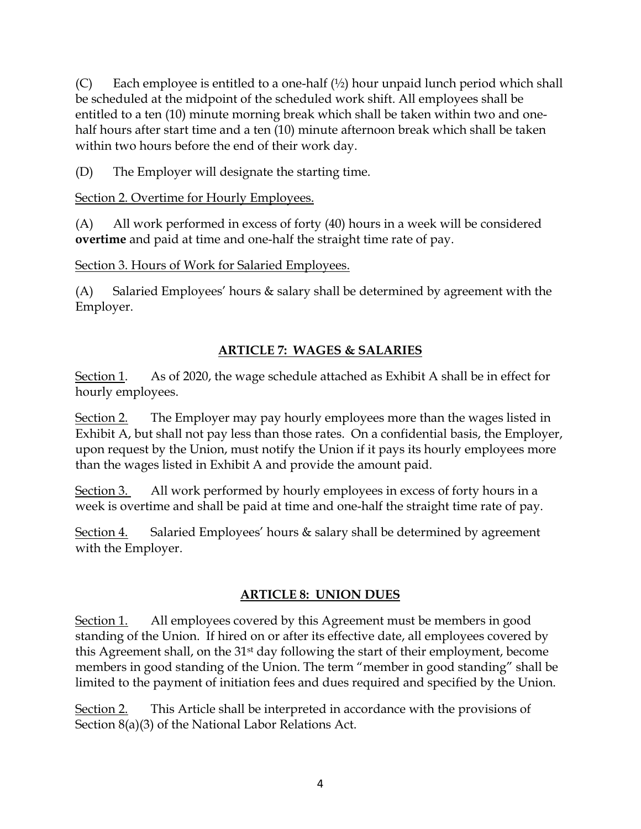(C) Each employee is entitled to a one-half  $\left(\frac{1}{2}\right)$  hour unpaid lunch period which shall be scheduled at the midpoint of the scheduled work shift. All employees shall be entitled to a ten (10) minute morning break which shall be taken within two and onehalf hours after start time and a ten (10) minute afternoon break which shall be taken within two hours before the end of their work day.

(D) The Employer will designate the starting time.

Section 2. Overtime for Hourly Employees.

(A) All work performed in excess of forty (40) hours in a week will be considered **overtime** and paid at time and one-half the straight time rate of pay.

Section 3. Hours of Work for Salaried Employees.

(A) Salaried Employees' hours  $&$  salary shall be determined by agreement with the Employer.

# **ARTICLE 7: WAGES & SALARIES**

Section 1. As of 2020, the wage schedule attached as Exhibit A shall be in effect for hourly employees.

Section 2. The Employer may pay hourly employees more than the wages listed in Exhibit A, but shall not pay less than those rates. On a confidential basis, the Employer, upon request by the Union, must notify the Union if it pays its hourly employees more than the wages listed in Exhibit A and provide the amount paid.

Section 3. All work performed by hourly employees in excess of forty hours in a week is overtime and shall be paid at time and one-half the straight time rate of pay.

Section 4. Salaried Employees' hours  $\&$  salary shall be determined by agreement with the Employer.

### **ARTICLE 8: UNION DUES**

Section 1. All employees covered by this Agreement must be members in good standing of the Union. If hired on or after its effective date, all employees covered by this Agreement shall, on the 31st day following the start of their employment, become members in good standing of the Union. The term "member in good standing" shall be limited to the payment of initiation fees and dues required and specified by the Union.

Section 2. This Article shall be interpreted in accordance with the provisions of Section 8(a)(3) of the National Labor Relations Act.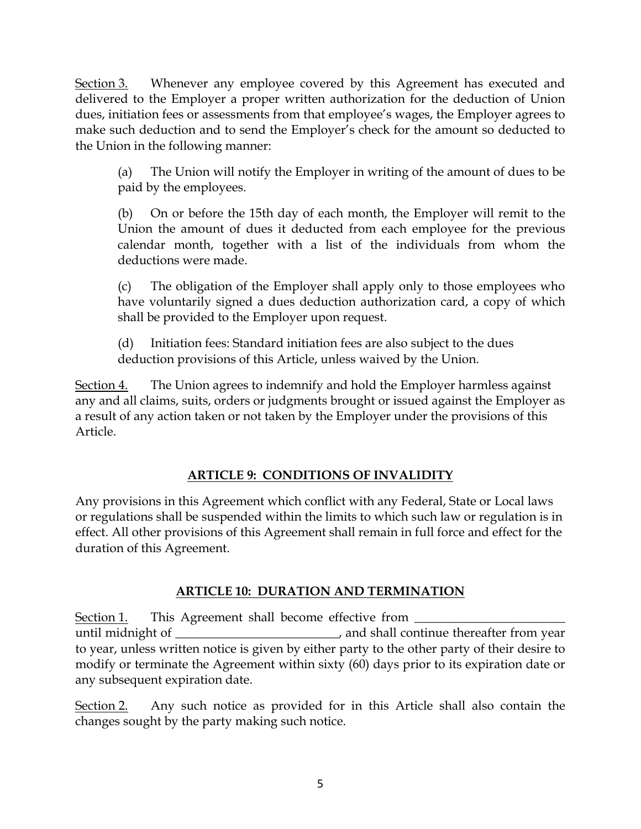Section 3. Whenever any employee covered by this Agreement has executed and delivered to the Employer a proper written authorization for the deduction of Union dues, initiation fees or assessments from that employee's wages, the Employer agrees to make such deduction and to send the Employer's check for the amount so deducted to the Union in the following manner:

(a) The Union will notify the Employer in writing of the amount of dues to be paid by the employees.

(b) On or before the 15th day of each month, the Employer will remit to the Union the amount of dues it deducted from each employee for the previous calendar month, together with a list of the individuals from whom the deductions were made.

(c) The obligation of the Employer shall apply only to those employees who have voluntarily signed a dues deduction authorization card, a copy of which shall be provided to the Employer upon request.

(d) Initiation fees: Standard initiation fees are also subject to the dues deduction provisions of this Article, unless waived by the Union.

Section 4. The Union agrees to indemnify and hold the Employer harmless against any and all claims, suits, orders or judgments brought or issued against the Employer as a result of any action taken or not taken by the Employer under the provisions of this Article.

### **ARTICLE 9: CONDITIONS OF INVALIDITY**

Any provisions in this Agreement which conflict with any Federal, State or Local laws or regulations shall be suspended within the limits to which such law or regulation is in effect. All other provisions of this Agreement shall remain in full force and effect for the duration of this Agreement.

#### **ARTICLE 10: DURATION AND TERMINATION**

Section 1. This Agreement shall become effective from \_\_\_\_\_\_\_\_\_\_\_\_\_\_\_\_\_\_\_\_\_\_\_\_\_\_\_ until midnight of \_\_\_\_\_\_\_\_\_\_\_\_\_\_\_\_\_\_\_\_\_\_\_\_, and shall continue thereafter from year to year, unless written notice is given by either party to the other party of their desire to modify or terminate the Agreement within sixty (60) days prior to its expiration date or any subsequent expiration date.

Section 2. Any such notice as provided for in this Article shall also contain the changes sought by the party making such notice.